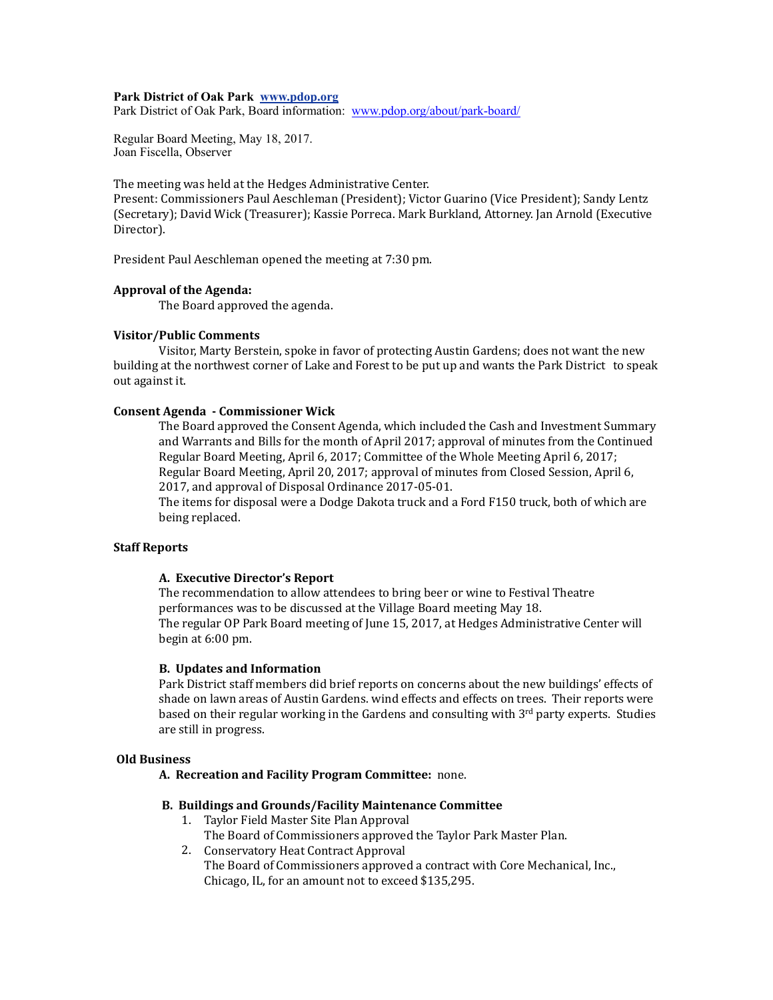### **Park District of Oak Park www.pdop.org**

Park District of Oak Park, Board information: [www.pdop.org/about/park-board/](http://www.pdop.org/about/park-board/)

Regular Board Meeting, May 18, 2017. Joan Fiscella, Observer

The meeting was held at the Hedges Administrative Center.

Present: Commissioners Paul Aeschleman (President); Victor Guarino (Vice President); Sandy Lentz (Secretary); David Wick (Treasurer); Kassie Porreca. Mark Burkland, Attorney. Jan Arnold (Executive Director). 

President Paul Aeschleman opened the meeting at 7:30 pm.

## **Approval of the Agenda:**

The Board approved the agenda.

### **Visitor/Public Comments**

Visitor, Marty Berstein, spoke in favor of protecting Austin Gardens; does not want the new building at the northwest corner of Lake and Forest to be put up and wants the Park District to speak out against it.

# **Consent Agenda - Commissioner Wick**

The Board approved the Consent Agenda, which included the Cash and Investment Summary and Warrants and Bills for the month of April 2017; approval of minutes from the Continued Regular Board Meeting, April 6, 2017; Committee of the Whole Meeting April 6, 2017; Regular Board Meeting, April 20, 2017; approval of minutes from Closed Session, April 6, 2017, and approval of Disposal Ordinance 2017-05-01.

The items for disposal were a Dodge Dakota truck and a Ford F150 truck, both of which are being replaced.

## **Staff Reports**

### **A. Executive Director's Report**

The recommendation to allow attendees to bring beer or wine to Festival Theatre performances was to be discussed at the Village Board meeting May 18. The regular OP Park Board meeting of June 15, 2017, at Hedges Administrative Center will begin at 6:00 pm. 

#### **B.** Updates and Information

Park District staff members did brief reports on concerns about the new buildings' effects of shade on lawn areas of Austin Gardens. wind effects and effects on trees. Their reports were based on their regular working in the Gardens and consulting with  $3<sup>rd</sup>$  party experts. Studies are still in progress.

#### **Old Business**

A. Recreation and Facility Program Committee: none.

# **B. Buildings and Grounds/Facility Maintenance Committee**

- 1. Taylor Field Master Site Plan Approval
	- The Board of Commissioners approved the Taylor Park Master Plan.
- 2. Conservatory Heat Contract Approval The Board of Commissioners approved a contract with Core Mechanical, Inc., Chicago, IL, for an amount not to exceed \$135,295.